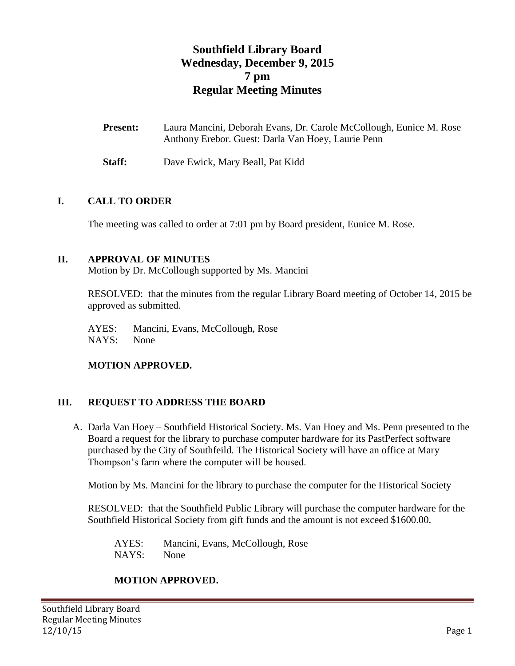# **Southfield Library Board Wednesday, December 9, 2015 7 pm Regular Meeting Minutes**

| <b>Present:</b> | Laura Mancini, Deborah Evans, Dr. Carole McCollough, Eunice M. Rose |
|-----------------|---------------------------------------------------------------------|
|                 | Anthony Erebor. Guest: Darla Van Hoey, Laurie Penn                  |

**Staff:** Dave Ewick, Mary Beall, Pat Kidd

### **I. CALL TO ORDER**

The meeting was called to order at 7:01 pm by Board president, Eunice M. Rose.

### **II. APPROVAL OF MINUTES**

Motion by Dr. McCollough supported by Ms. Mancini

RESOLVED: that the minutes from the regular Library Board meeting of October 14, 2015 be approved as submitted.

AYES: Mancini, Evans, McCollough, Rose NAYS: None

### **MOTION APPROVED.**

### **III. REQUEST TO ADDRESS THE BOARD**

A. Darla Van Hoey – Southfield Historical Society. Ms. Van Hoey and Ms. Penn presented to the Board a request for the library to purchase computer hardware for its PastPerfect software purchased by the City of Southfeild. The Historical Society will have an office at Mary Thompson's farm where the computer will be housed.

Motion by Ms. Mancini for the library to purchase the computer for the Historical Society

RESOLVED: that the Southfield Public Library will purchase the computer hardware for the Southfield Historical Society from gift funds and the amount is not exceed \$1600.00.

AYES: Mancini, Evans, McCollough, Rose NAYS: None

### **MOTION APPROVED.**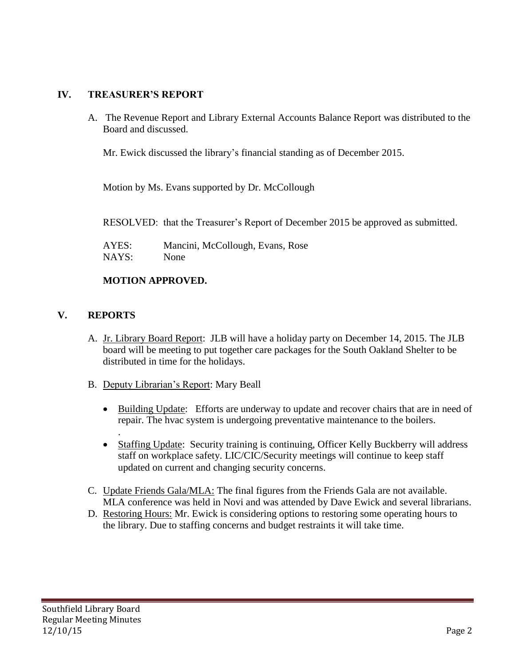## **IV. TREASURER'S REPORT**

A. The Revenue Report and Library External Accounts Balance Report was distributed to the Board and discussed.

Mr. Ewick discussed the library's financial standing as of December 2015.

Motion by Ms. Evans supported by Dr. McCollough

RESOLVED: that the Treasurer's Report of December 2015 be approved as submitted.

AYES: Mancini, McCollough, Evans, Rose NAYS: None

# **MOTION APPROVED.**

### **V. REPORTS**

.

- A. Jr. Library Board Report: JLB will have a holiday party on December 14, 2015. The JLB board will be meeting to put together care packages for the South Oakland Shelter to be distributed in time for the holidays.
- B. Deputy Librarian's Report: Mary Beall
	- Building Update: Efforts are underway to update and recover chairs that are in need of repair. The hvac system is undergoing preventative maintenance to the boilers.
	- Staffing Update: Security training is continuing, Officer Kelly Buckberry will address staff on workplace safety. LIC/CIC/Security meetings will continue to keep staff updated on current and changing security concerns.
- C. Update Friends Gala/MLA: The final figures from the Friends Gala are not available. MLA conference was held in Novi and was attended by Dave Ewick and several librarians.
- D. Restoring Hours: Mr. Ewick is considering options to restoring some operating hours to the library. Due to staffing concerns and budget restraints it will take time.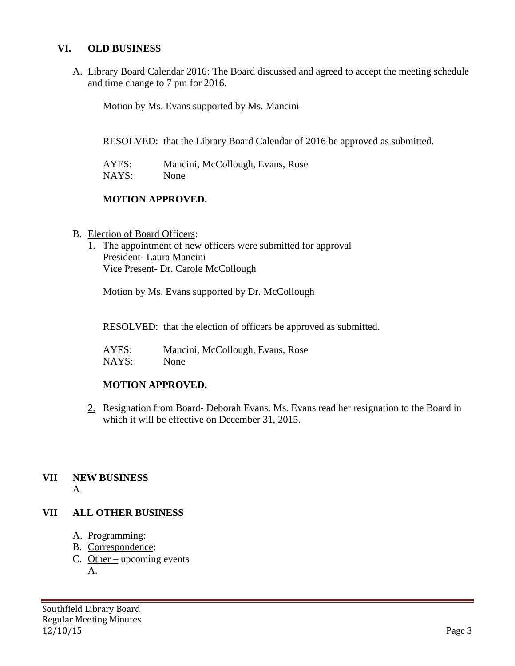#### **VI. OLD BUSINESS**

A. Library Board Calendar 2016: The Board discussed and agreed to accept the meeting schedule and time change to 7 pm for 2016.

Motion by Ms. Evans supported by Ms. Mancini

RESOLVED: that the Library Board Calendar of 2016 be approved as submitted.

| AYES: | Mancini, McCollough, Evans, Rose |
|-------|----------------------------------|
| NAYS: | None                             |

### **MOTION APPROVED.**

- B. Election of Board Officers:
	- 1. The appointment of new officers were submitted for approval President- Laura Mancini Vice Present- Dr. Carole McCollough

Motion by Ms. Evans supported by Dr. McCollough

RESOLVED: that the election of officers be approved as submitted.

AYES: Mancini, McCollough, Evans, Rose NAYS: None

### **MOTION APPROVED.**

2. Resignation from Board- Deborah Evans. Ms. Evans read her resignation to the Board in which it will be effective on December 31, 2015.

#### **VII NEW BUSINESS** A.

#### **VII ALL OTHER BUSINESS**

- A. Programming:
- B. Correspondence:
- C. Other upcoming events A.